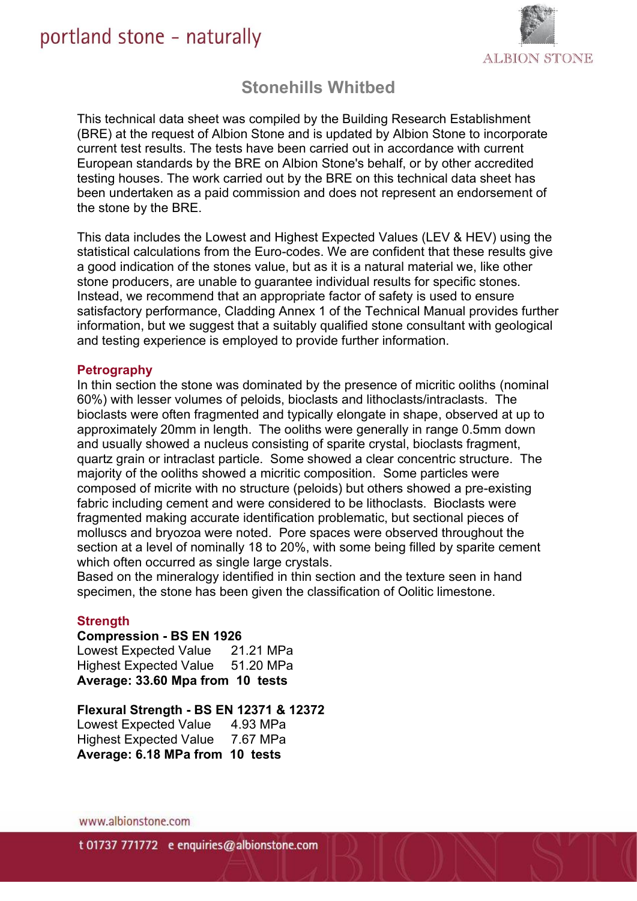# portland stone - naturally



# **Stonehills Whitbed**

This technical data sheet was compiled by the Building Research Establishment (BRE) at the request of Albion Stone and is updated by Albion Stone to incorporate current test results. The tests have been carried out in accordance with current European standards by the BRE on Albion Stone's behalf, or by other accredited testing houses. The work carried out by the BRE on this technical data sheet has been undertaken as a paid commission and does not represent an endorsement of the stone by the BRE.

This data includes the Lowest and Highest Expected Values (LEV & HEV) using the statistical calculations from the Euro-codes. We are confident that these results give a good indication of the stones value, but as it is a natural material we, like other stone producers, are unable to guarantee individual results for specific stones. Instead, we recommend that an appropriate factor of safety is used to ensure satisfactory performance, Cladding Annex 1 of the Technical Manual provides further information, but we suggest that a suitably qualified stone consultant with geological and testing experience is employed to provide further information.

#### **Petrography**

In thin section the stone was dominated by the presence of micritic ooliths (nominal 60%) with lesser volumes of peloids, bioclasts and lithoclasts/intraclasts. The bioclasts were often fragmented and typically elongate in shape, observed at up to approximately 20mm in length. The ooliths were generally in range 0.5mm down and usually showed a nucleus consisting of sparite crystal, bioclasts fragment, quartz grain or intraclast particle. Some showed a clear concentric structure. The majority of the ooliths showed a micritic composition. Some particles were composed of micrite with no structure (peloids) but others showed a pre-existing fabric including cement and were considered to be lithoclasts. Bioclasts were fragmented making accurate identification problematic, but sectional pieces of molluscs and bryozoa were noted. Pore spaces were observed throughout the section at a level of nominally 18 to 20%, with some being filled by sparite cement which often occurred as single large crystals.

Based on the mineralogy identified in thin section and the texture seen in hand specimen, the stone has been given the classification of Oolitic limestone.

# **Strength**

#### **Compression - BS EN 1926**

Lowest Expected Value 21.21 MPa Highest Expected Value 51.20 MPa **Average: 33.60 Mpa from 10 tests**

#### **Flexural Strength - BS EN 12371 & 12372**

Lowest Expected Value 4.93 MPa Highest Expected Value 7.67 MPa **Average: 6.18 MPa from 10 tests**

www.albionstone.com

t 01737 771772 e enquiries@albionstone.com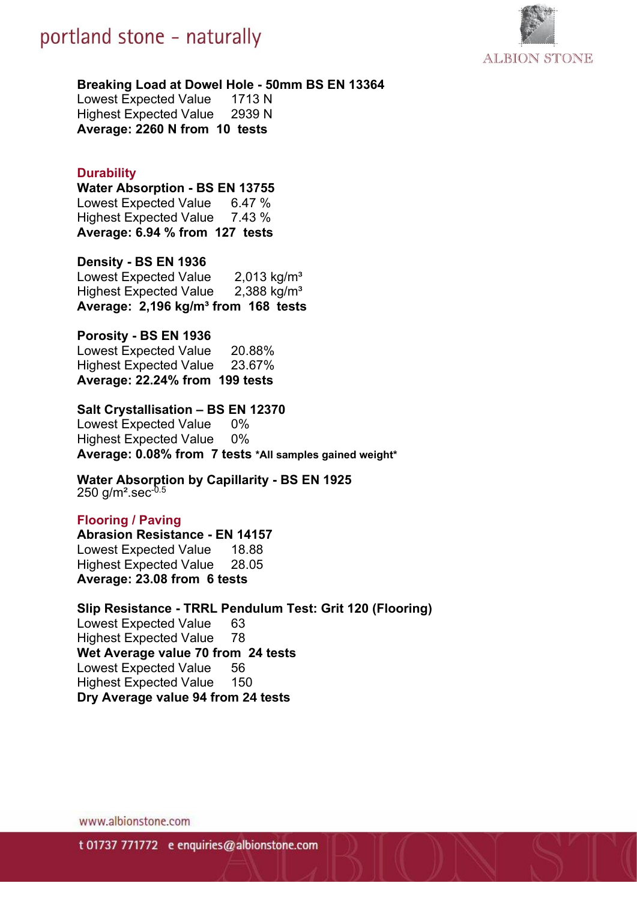



#### **Breaking Load at Dowel Hole - 50mm BS EN 13364**

Lowest Expected Value 1713 N Highest Expected Value 2939 N **Average: 2260 N from 10 tests**

# **Durability**

**Water Absorption - BS EN 13755** Lowest Expected Value 6.47 % Highest Expected Value 7.43 % **Average: 6.94 % from 127 tests**

# **Density - BS EN 1936**

Lowest Expected Value 2,013 kg/m<sup>3</sup> Highest Expected Value 2,388 kg/m<sup>3</sup> **Average: 2,196 kg/m³ from 168 tests**

# **Porosity - BS EN 1936**

Lowest Expected Value 20.88% Highest Expected Value 23.67% **Average: 22.24% from 199 tests**

#### **Salt Crystallisation – BS EN 12370**

Lowest Expected Value 0% Highest Expected Value 0% **Average: 0.08% from 7 tests \*All samples gained weight\***

#### **Water Absorption by Capillarity - BS EN 1925** 250 g/m<sup>2</sup>.sec $-0.5$

# **Flooring / Paving**

**Abrasion Resistance - EN 14157** Lowest Expected Value 18.88 Highest Expected Value 28.05 **Average: 23.08 from 6 tests**

#### **Slip Resistance - TRRL Pendulum Test: Grit 120 (Flooring)**

Lowest Expected Value 63 Highest Expected Value 78 **Wet Average value 70 from 24 tests** Lowest Expected Value 56 Highest Expected Value 150 **Dry Average value 94 from 24 tests**

www.albionstone.com

t 01737 771772 e enquiries@albionstone.com